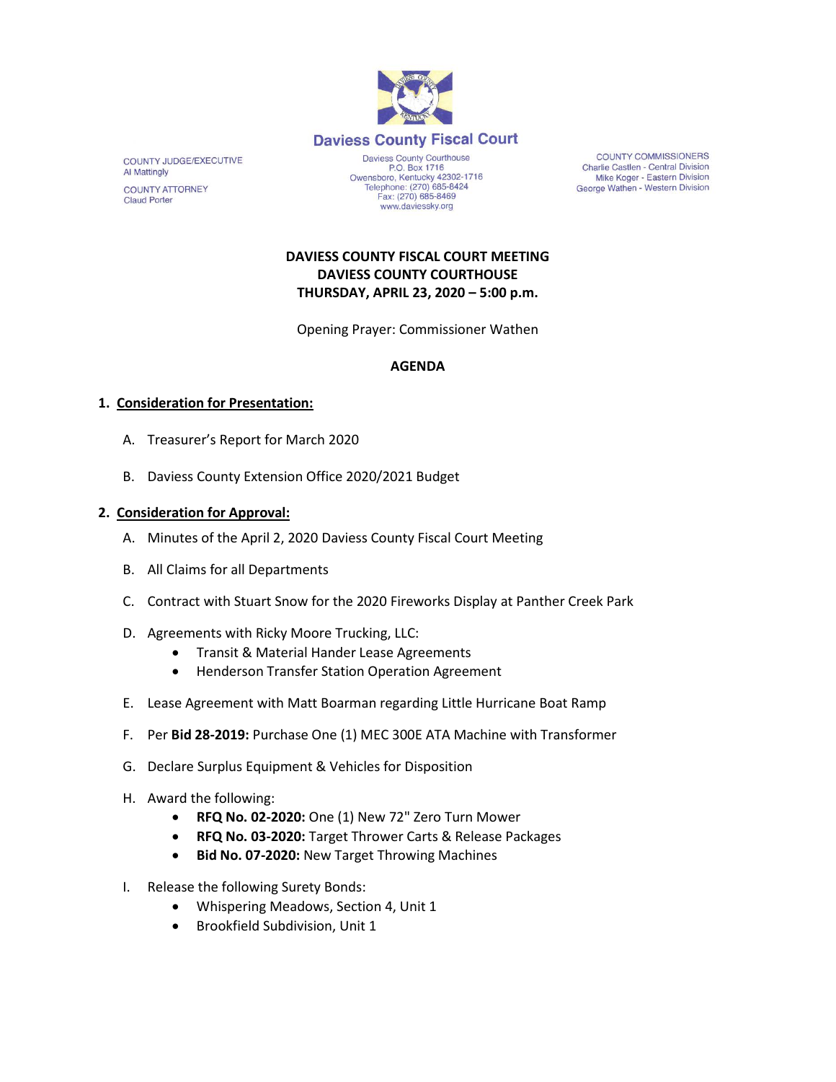

**COUNTY COMMISSIONERS** Charlie Castlen - Central Division<br>Mike Koger - Eastern Division George Wathen - Western Division

# **DAVIESS COUNTY FISCAL COURT MEETING DAVIESS COUNTY COURTHOUSE THURSDAY, APRIL 23, 2020 – 5:00 p.m.**

www.daviessky.org

Opening Prayer: Commissioner Wathen

#### **AGENDA**

## **1. Consideration for Presentation:**

- A. Treasurer's Report for March 2020
- B. Daviess County Extension Office 2020/2021 Budget

#### **2. Consideration for Approval:**

- A. Minutes of the April 2, 2020 Daviess County Fiscal Court Meeting
- B. All Claims for all Departments
- C. Contract with Stuart Snow for the 2020 Fireworks Display at Panther Creek Park
- D. Agreements with Ricky Moore Trucking, LLC:
	- Transit & Material Hander Lease Agreements
	- Henderson Transfer Station Operation Agreement
- E. Lease Agreement with Matt Boarman regarding Little Hurricane Boat Ramp
- F. Per **Bid 28-2019:** Purchase One (1) MEC 300E ATA Machine with Transformer
- G. Declare Surplus Equipment & Vehicles for Disposition
- H. Award the following:
	- **RFQ No. 02-2020:** One (1) New 72" Zero Turn Mower
	- **RFQ No. 03-2020:** Target Thrower Carts & Release Packages
	- **Bid No. 07-2020:** New Target Throwing Machines
- I. Release the following Surety Bonds:
	- Whispering Meadows, Section 4, Unit 1
	- Brookfield Subdivision, Unit 1

COUNTY JUDGE/EXECUTIVE **Al Mattingly COUNTY ATTORNEY Claud Porter**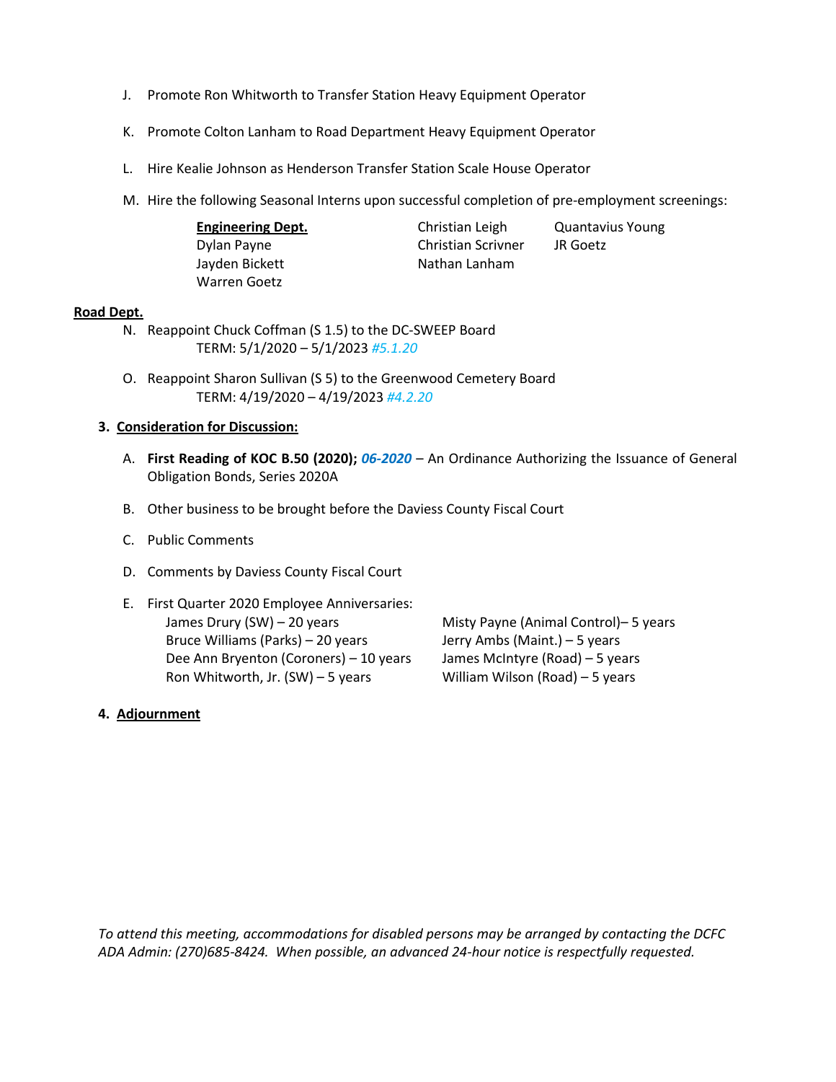- J. Promote Ron Whitworth to Transfer Station Heavy Equipment Operator
- K. Promote Colton Lanham to Road Department Heavy Equipment Operator
- L. Hire Kealie Johnson as Henderson Transfer Station Scale House Operator
- M. Hire the following Seasonal Interns upon successful completion of pre-employment screenings:

| <b>Engineering Dept.</b> | Christian Leigh           | <b>Quantavius Young</b> |
|--------------------------|---------------------------|-------------------------|
| Dylan Payne              | <b>Christian Scrivner</b> | JR Goetz                |
| Jayden Bickett           | Nathan Lanham             |                         |
| Warren Goetz             |                           |                         |

#### **Road Dept.**

- N. Reappoint Chuck Coffman (S 1.5) to the DC-SWEEP Board TERM: 5/1/2020 – 5/1/2023 *#5.1.20*
- O. Reappoint Sharon Sullivan (S 5) to the Greenwood Cemetery Board TERM: 4/19/2020 – 4/19/2023 *#4.2.20*

#### **3. Consideration for Discussion:**

- A. **First Reading of KOC B.50 (2020);** *06-2020* An Ordinance Authorizing the Issuance of General Obligation Bonds, Series 2020A
- B. Other business to be brought before the Daviess County Fiscal Court
- C. Public Comments
- D. Comments by Daviess County Fiscal Court
- E. First Quarter 2020 Employee Anniversaries: James Drury (SW) – 20 years Misty Payne (Animal Control)– 5 years Bruce Williams (Parks) – 20 years Jerry Ambs (Maint.) – 5 years Dee Ann Bryenton (Coroners) – 10 years James McIntyre (Road) – 5 years Ron Whitworth, Jr. (SW) – 5 years William Wilson (Road) – 5 years

## **4. Adjournment**

*To attend this meeting, accommodations for disabled persons may be arranged by contacting the DCFC ADA Admin: (270)685-8424. When possible, an advanced 24-hour notice is respectfully requested.*